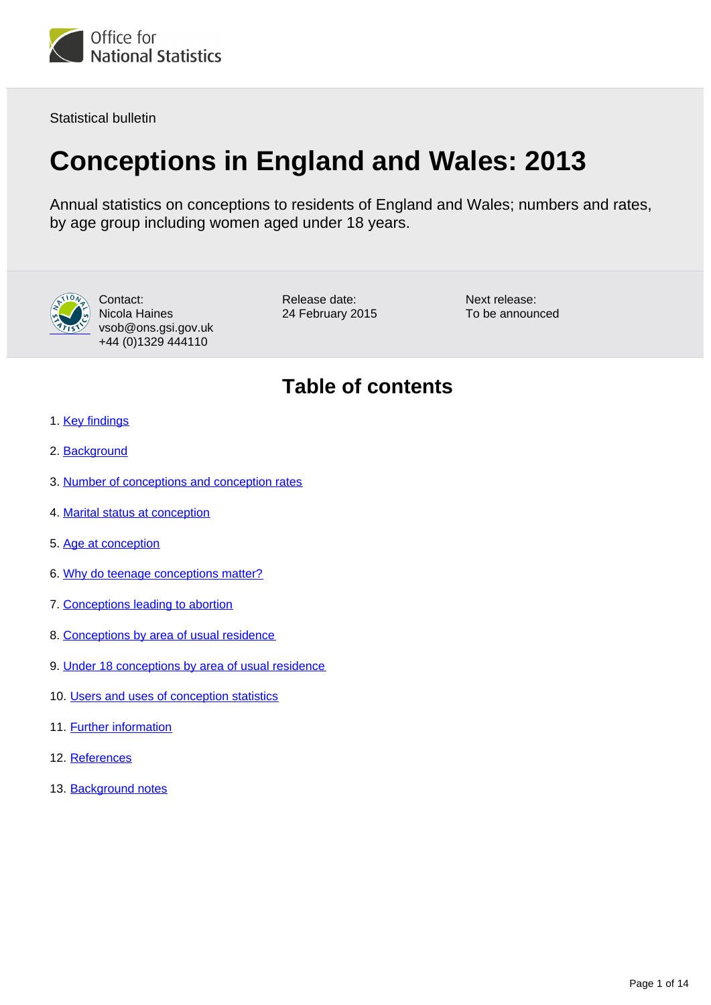

Statistical bulletin

# **Conceptions in England and Wales: 2013**

Annual statistics on conceptions to residents of England and Wales; numbers and rates, by age group including women aged under 18 years.



Contact: Nicola Haines vsob@ons.gsi.gov.uk +44 (0)1329 444110

Release date: 24 February 2015 Next release: To be announced

## **Table of contents**

- 1. [Key findings](#page-1-0)
- 2. [Background](#page-1-1)
- 3. [Number of conceptions and conception rates](#page-1-2)
- 4. [Marital status at conception](#page-3-0)
- 5. [Age at conception](#page-3-1)
- 6. [Why do teenage conceptions matter?](#page-6-0)
- 7. [Conceptions leading to abortion](#page-6-1)
- 8. [Conceptions by area of usual residence](#page-7-0)
- 9. [Under 18 conceptions by area of usual residence](#page-7-1)
- 10. [Users and uses of conception statistics](#page-10-0)
- 11. Further information
- 12. References
- 13. Background notes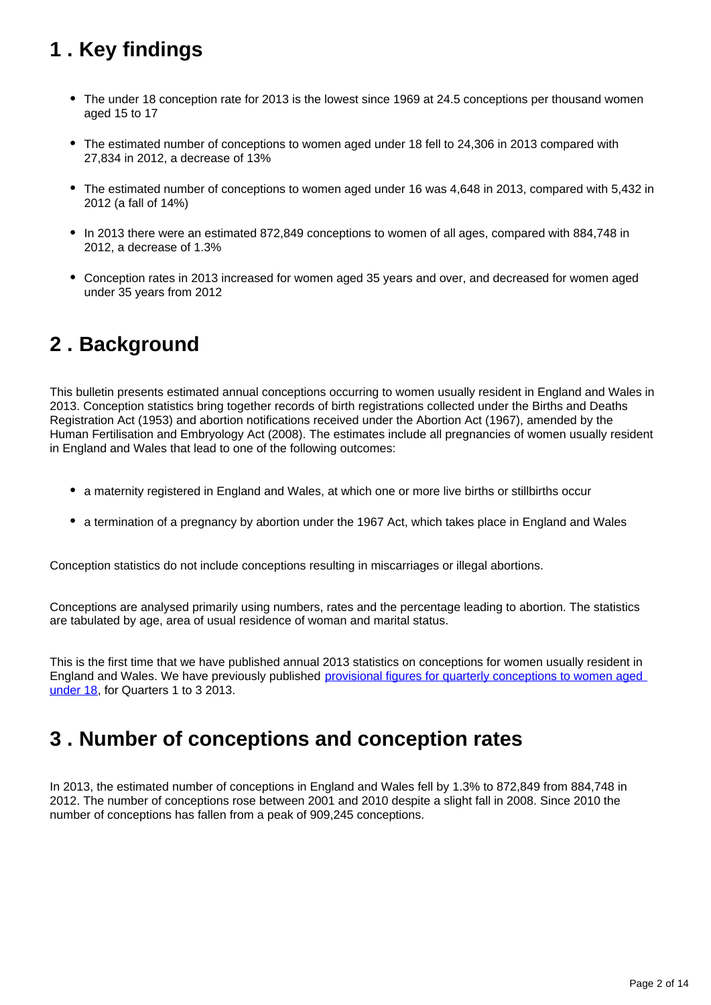# <span id="page-1-0"></span>**1 . Key findings**

- The under 18 conception rate for 2013 is the lowest since 1969 at 24.5 conceptions per thousand women aged 15 to 17
- The estimated number of conceptions to women aged under 18 fell to 24,306 in 2013 compared with 27,834 in 2012, a decrease of 13%
- The estimated number of conceptions to women aged under 16 was 4,648 in 2013, compared with 5,432 in 2012 (a fall of 14%)
- In 2013 there were an estimated 872,849 conceptions to women of all ages, compared with 884,748 in 2012, a decrease of 1.3%
- Conception rates in 2013 increased for women aged 35 years and over, and decreased for women aged under 35 years from 2012

### <span id="page-1-1"></span>**2 . Background**

This bulletin presents estimated annual conceptions occurring to women usually resident in England and Wales in 2013. Conception statistics bring together records of birth registrations collected under the Births and Deaths Registration Act (1953) and abortion notifications received under the Abortion Act (1967), amended by the Human Fertilisation and Embryology Act (2008). The estimates include all pregnancies of women usually resident in England and Wales that lead to one of the following outcomes:

- a maternity registered in England and Wales, at which one or more live births or stillbirths occur
- a termination of a pregnancy by abortion under the 1967 Act, which takes place in England and Wales

Conception statistics do not include conceptions resulting in miscarriages or illegal abortions.

Conceptions are analysed primarily using numbers, rates and the percentage leading to abortion. The statistics are tabulated by age, area of usual residence of woman and marital status.

This is the first time that we have published annual 2013 statistics on conceptions for women usually resident in England and Wales. We have previously published [provisional figures for quarterly conceptions to women aged](http://www.ons.gov.uk/ons/rel/vsob1/quart-conc-to-women-und-18/index.html)  [under 18,](http://www.ons.gov.uk/ons/rel/vsob1/quart-conc-to-women-und-18/index.html) for Quarters 1 to 3 2013.

### <span id="page-1-2"></span>**3 . Number of conceptions and conception rates**

In 2013, the estimated number of conceptions in England and Wales fell by 1.3% to 872,849 from 884,748 in 2012. The number of conceptions rose between 2001 and 2010 despite a slight fall in 2008. Since 2010 the number of conceptions has fallen from a peak of 909,245 conceptions.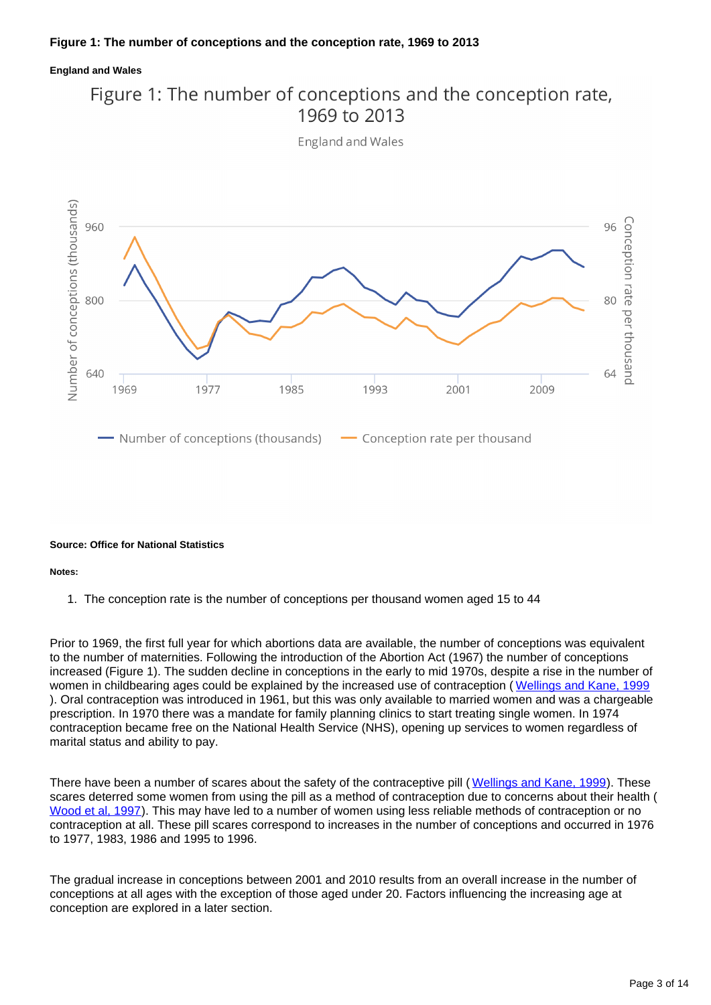### **England and Wales**



**England and Wales** 



#### **Source: Office for National Statistics**

#### **Notes:**

1. The conception rate is the number of conceptions per thousand women aged 15 to 44

Prior to 1969, the first full year for which abortions data are available, the number of conceptions was equivalent to the number of maternities. Following the introduction of the Abortion Act (1967) the number of conceptions increased (Figure 1). The sudden decline in conceptions in the early to mid 1970s, despite a rise in the number of women in childbearing ages could be explained by the increased use of contraception ([Wellings and Kane, 1999](http://www.ncbi.nlm.nih.gov/pmc/articles/PMC1297204/?page=1)) ). Oral contraception was introduced in 1961, but this was only available to married women and was a chargeable prescription. In 1970 there was a mandate for family planning clinics to start treating single women. In 1974 contraception became free on the National Health Service (NHS), opening up services to women regardless of marital status and ability to pay.

There have been a number of scares about the safety of the contraceptive pill ([Wellings and Kane, 1999](http://www.ncbi.nlm.nih.gov/pmc/articles/PMC1297204/?page=1)). These scares deterred some women from using the pill as a method of contraception due to concerns about their health ( [Wood et al, 1997\)](http://www.ons.gov.uk/ons/rel/population-trends-rd/population-trends/no--89--autumn-1997/bdl-population-trends-no--89--autumn-1997.pdf). This may have led to a number of women using less reliable methods of contraception or no contraception at all. These pill scares correspond to increases in the number of conceptions and occurred in 1976 to 1977, 1983, 1986 and 1995 to 1996.

The gradual increase in conceptions between 2001 and 2010 results from an overall increase in the number of conceptions at all ages with the exception of those aged under 20. Factors influencing the increasing age at conception are explored in a later section.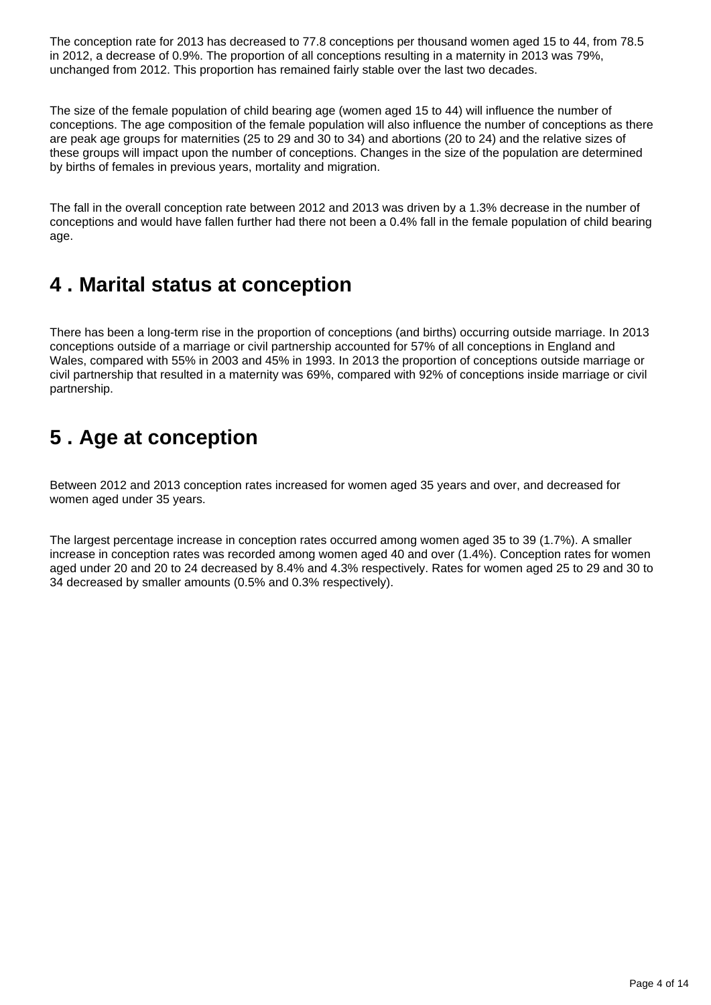The conception rate for 2013 has decreased to 77.8 conceptions per thousand women aged 15 to 44, from 78.5 in 2012, a decrease of 0.9%. The proportion of all conceptions resulting in a maternity in 2013 was 79%, unchanged from 2012. This proportion has remained fairly stable over the last two decades.

The size of the female population of child bearing age (women aged 15 to 44) will influence the number of conceptions. The age composition of the female population will also influence the number of conceptions as there are peak age groups for maternities (25 to 29 and 30 to 34) and abortions (20 to 24) and the relative sizes of these groups will impact upon the number of conceptions. Changes in the size of the population are determined by births of females in previous years, mortality and migration.

The fall in the overall conception rate between 2012 and 2013 was driven by a 1.3% decrease in the number of conceptions and would have fallen further had there not been a 0.4% fall in the female population of child bearing age.

## <span id="page-3-0"></span>**4 . Marital status at conception**

There has been a long-term rise in the proportion of conceptions (and births) occurring outside marriage. In 2013 conceptions outside of a marriage or civil partnership accounted for 57% of all conceptions in England and Wales, compared with 55% in 2003 and 45% in 1993. In 2013 the proportion of conceptions outside marriage or civil partnership that resulted in a maternity was 69%, compared with 92% of conceptions inside marriage or civil partnership.

# <span id="page-3-1"></span>**5 . Age at conception**

Between 2012 and 2013 conception rates increased for women aged 35 years and over, and decreased for women aged under 35 years.

The largest percentage increase in conception rates occurred among women aged 35 to 39 (1.7%). A smaller increase in conception rates was recorded among women aged 40 and over (1.4%). Conception rates for women aged under 20 and 20 to 24 decreased by 8.4% and 4.3% respectively. Rates for women aged 25 to 29 and 30 to 34 decreased by smaller amounts (0.5% and 0.3% respectively).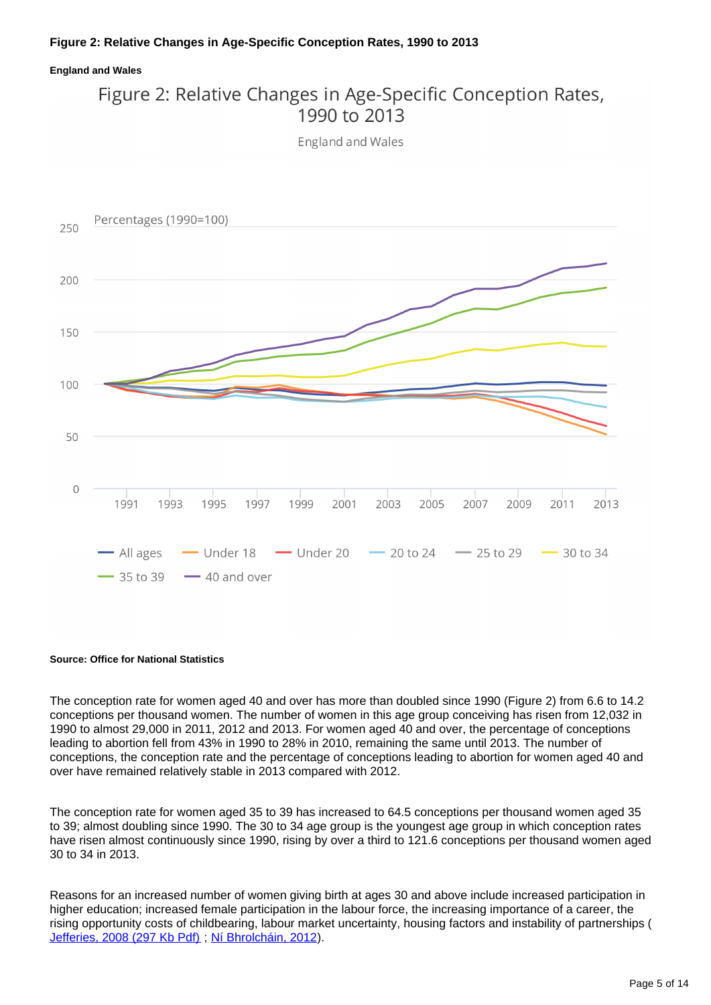### **England and Wales**

### Figure 2: Relative Changes in Age-Specific Conception Rates, 1990 to 2013

**England and Wales** 



#### **Source: Office for National Statistics**

The conception rate for women aged 40 and over has more than doubled since 1990 (Figure 2) from 6.6 to 14.2 conceptions per thousand women. The number of women in this age group conceiving has risen from 12,032 in 1990 to almost 29,000 in 2011, 2012 and 2013. For women aged 40 and over, the percentage of conceptions leading to abortion fell from 43% in 1990 to 28% in 2010, remaining the same until 2013. The number of conceptions, the conception rate and the percentage of conceptions leading to abortion for women aged 40 and over have remained relatively stable in 2013 compared with 2012.

The conception rate for women aged 35 to 39 has increased to 64.5 conceptions per thousand women aged 35 to 39; almost doubling since 1990. The 30 to 34 age group is the youngest age group in which conception rates have risen almost continuously since 1990, rising by over a third to 121.6 conceptions per thousand women aged 30 to 34 in 2013.

Reasons for an increased number of women giving birth at ages 30 and above include increased participation in higher education; increased female participation in the labour force, the increasing importance of a career, the rising opportunity costs of childbearing, labour market uncertainty, housing factors and instability of partnerships ( [Jefferies, 2008 \(297 Kb Pdf\)](http://www.ons.gov.uk/ons/rel/population-trends-rd/population-trends/no--131--spring-2008/fertility-assumptions-for-the-2006-based-national-population-projections.pdf) ; [Ní Bhrolcháin, 2012\)](http://www.tandfonline.com/doi/pdf/10.1080/00324728.2012.697569).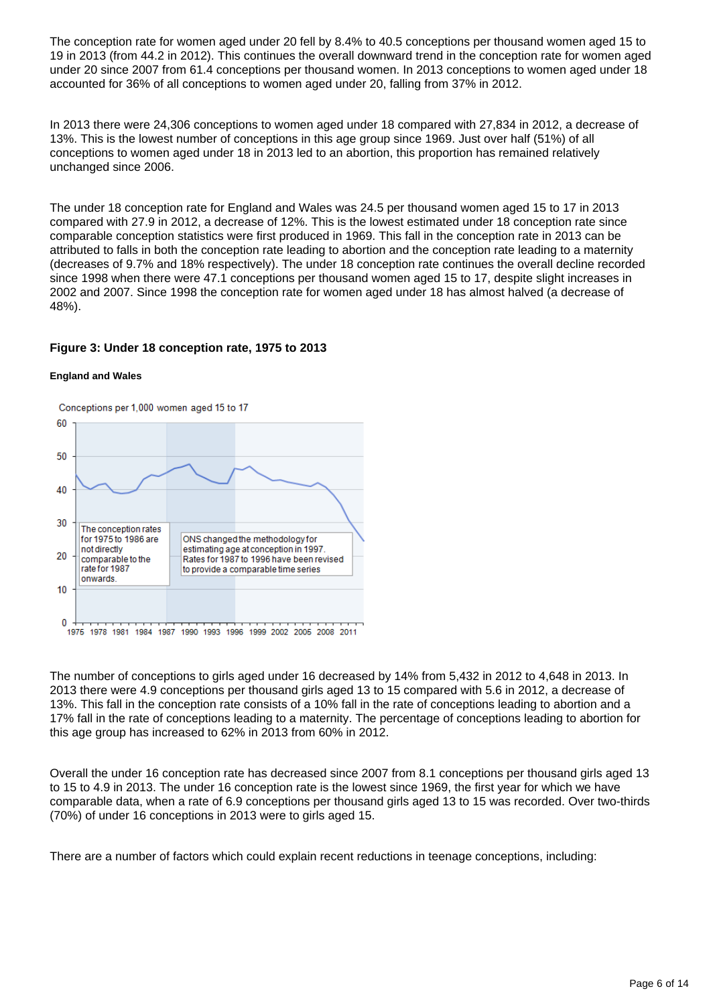The conception rate for women aged under 20 fell by 8.4% to 40.5 conceptions per thousand women aged 15 to 19 in 2013 (from 44.2 in 2012). This continues the overall downward trend in the conception rate for women aged under 20 since 2007 from 61.4 conceptions per thousand women. In 2013 conceptions to women aged under 18 accounted for 36% of all conceptions to women aged under 20, falling from 37% in 2012.

In 2013 there were 24,306 conceptions to women aged under 18 compared with 27,834 in 2012, a decrease of 13%. This is the lowest number of conceptions in this age group since 1969. Just over half (51%) of all conceptions to women aged under 18 in 2013 led to an abortion, this proportion has remained relatively unchanged since 2006.

The under 18 conception rate for England and Wales was 24.5 per thousand women aged 15 to 17 in 2013 compared with 27.9 in 2012, a decrease of 12%. This is the lowest estimated under 18 conception rate since comparable conception statistics were first produced in 1969. This fall in the conception rate in 2013 can be attributed to falls in both the conception rate leading to abortion and the conception rate leading to a maternity (decreases of 9.7% and 18% respectively). The under 18 conception rate continues the overall decline recorded since 1998 when there were 47.1 conceptions per thousand women aged 15 to 17, despite slight increases in 2002 and 2007. Since 1998 the conception rate for women aged under 18 has almost halved (a decrease of 48%).

### **Figure 3: Under 18 conception rate, 1975 to 2013**

#### **England and Wales**



The number of conceptions to girls aged under 16 decreased by 14% from 5,432 in 2012 to 4,648 in 2013. In 2013 there were 4.9 conceptions per thousand girls aged 13 to 15 compared with 5.6 in 2012, a decrease of 13%. This fall in the conception rate consists of a 10% fall in the rate of conceptions leading to abortion and a 17% fall in the rate of conceptions leading to a maternity. The percentage of conceptions leading to abortion for this age group has increased to 62% in 2013 from 60% in 2012.

Overall the under 16 conception rate has decreased since 2007 from 8.1 conceptions per thousand girls aged 13 to 15 to 4.9 in 2013. The under 16 conception rate is the lowest since 1969, the first year for which we have comparable data, when a rate of 6.9 conceptions per thousand girls aged 13 to 15 was recorded. Over two-thirds (70%) of under 16 conceptions in 2013 were to girls aged 15.

There are a number of factors which could explain recent reductions in teenage conceptions, including: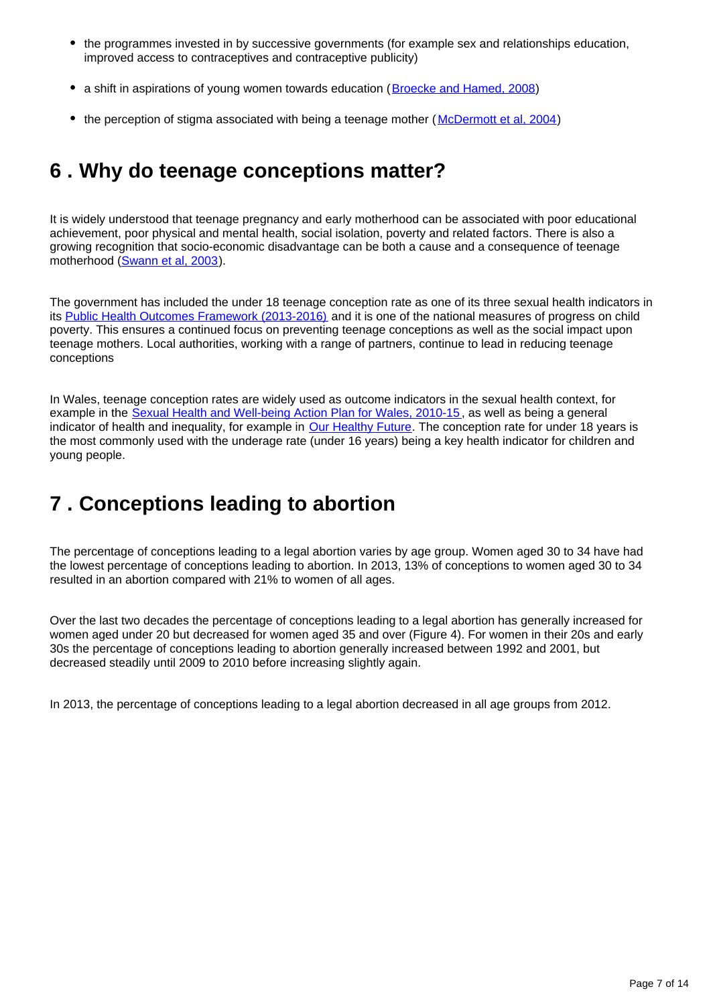- the programmes invested in by successive governments (for example sex and relationships education, improved access to contraceptives and contraceptive publicity)
- a shift in aspirations of young women towards education ([Broecke and Hamed, 2008\)](http://webarchive.nationalarchives.gov.uk/20121212135622/http://www.bis.gov.uk/assets/biscore/corporate/migratedD/publications/D/DIUS_RR_08_14)
- the perception of stigma associated with being a teenage mother (McDermott et al. 2004)

### <span id="page-6-0"></span>**6 . Why do teenage conceptions matter?**

It is widely understood that teenage pregnancy and early motherhood can be associated with poor educational achievement, poor physical and mental health, social isolation, poverty and related factors. There is also a growing recognition that socio-economic disadvantage can be both a cause and a consequence of teenage motherhood ([Swann et al, 2003](http://www.gserve.nice.org.uk/niceMedia/documents/teenpreg_evidence_briefing.pdf)).

The government has included the under 18 teenage conception rate as one of its three sexual health indicators in its [Public Health Outcomes Framework \(2013-2016\)](http://www.ons.gov.uk/ons/external-links/other-government-departments/doh/dh--a-public-health-outcomes-framework-for-england--2013--2016-----landing-page-.html) and it is one of the national measures of progress on child poverty. This ensures a continued focus on preventing teenage conceptions as well as the social impact upon teenage mothers. Local authorities, working with a range of partners, continue to lead in reducing teenage conceptions

In Wales, teenage conception rates are widely used as outcome indicators in the sexual health context, for example in the [Sexual Health and Well-being Action Plan for Wales, 2010-15](http://www.ons.gov.uk/ons/external-links/devolved-admins/welsh-assembly-government/welsh-government--sexual-health-and-well-being-action-plan-for-wales--2010-15.html), as well as being a general indicator of health and inequality, for example in [Our Healthy Future](http://wales.gov.uk/topics/health/cmo/healthy/?lang=en). The conception rate for under 18 years is the most commonly used with the underage rate (under 16 years) being a key health indicator for children and young people.

# <span id="page-6-1"></span>**7 . Conceptions leading to abortion**

The percentage of conceptions leading to a legal abortion varies by age group. Women aged 30 to 34 have had the lowest percentage of conceptions leading to abortion. In 2013, 13% of conceptions to women aged 30 to 34 resulted in an abortion compared with 21% to women of all ages.

Over the last two decades the percentage of conceptions leading to a legal abortion has generally increased for women aged under 20 but decreased for women aged 35 and over (Figure 4). For women in their 20s and early 30s the percentage of conceptions leading to abortion generally increased between 1992 and 2001, but decreased steadily until 2009 to 2010 before increasing slightly again.

In 2013, the percentage of conceptions leading to a legal abortion decreased in all age groups from 2012.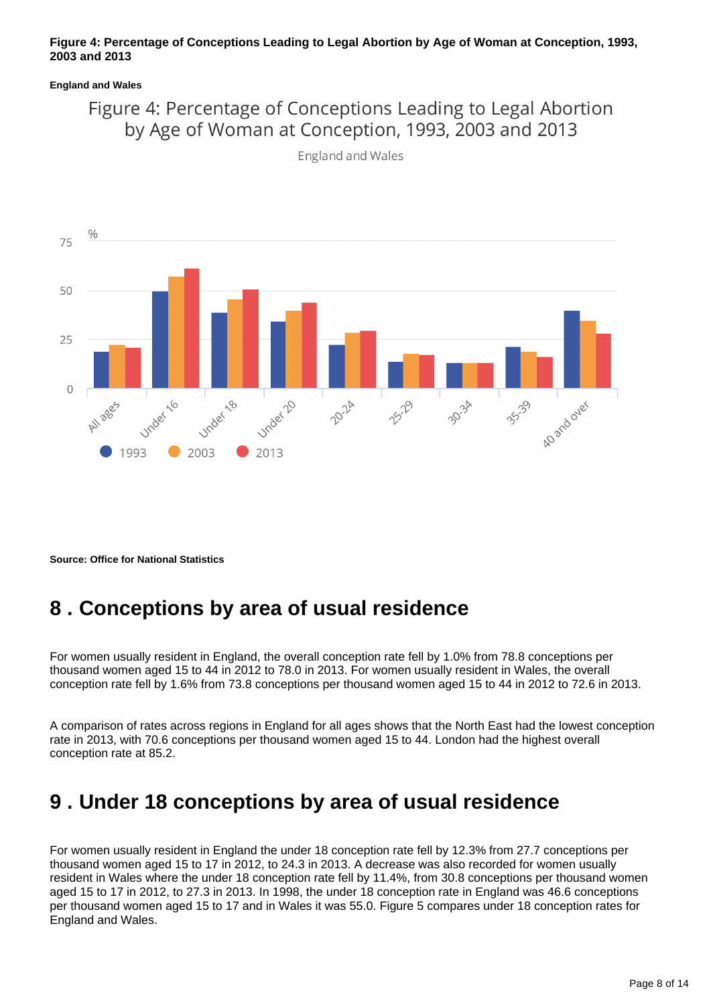### **Figure 4: Percentage of Conceptions Leading to Legal Abortion by Age of Woman at Conception, 1993, 2003 and 2013**

### **England and Wales**

### Figure 4: Percentage of Conceptions Leading to Legal Abortion by Age of Woman at Conception, 1993, 2003 and 2013



England and Wales

**Source: Office for National Statistics**

## <span id="page-7-0"></span>**8 . Conceptions by area of usual residence**

For women usually resident in England, the overall conception rate fell by 1.0% from 78.8 conceptions per thousand women aged 15 to 44 in 2012 to 78.0 in 2013. For women usually resident in Wales, the overall conception rate fell by 1.6% from 73.8 conceptions per thousand women aged 15 to 44 in 2012 to 72.6 in 2013.

A comparison of rates across regions in England for all ages shows that the North East had the lowest conception rate in 2013, with 70.6 conceptions per thousand women aged 15 to 44. London had the highest overall conception rate at 85.2.

### <span id="page-7-1"></span>**9 . Under 18 conceptions by area of usual residence**

For women usually resident in England the under 18 conception rate fell by 12.3% from 27.7 conceptions per thousand women aged 15 to 17 in 2012, to 24.3 in 2013. A decrease was also recorded for women usually resident in Wales where the under 18 conception rate fell by 11.4%, from 30.8 conceptions per thousand women aged 15 to 17 in 2012, to 27.3 in 2013. In 1998, the under 18 conception rate in England was 46.6 conceptions per thousand women aged 15 to 17 and in Wales it was 55.0. Figure 5 compares under 18 conception rates for England and Wales.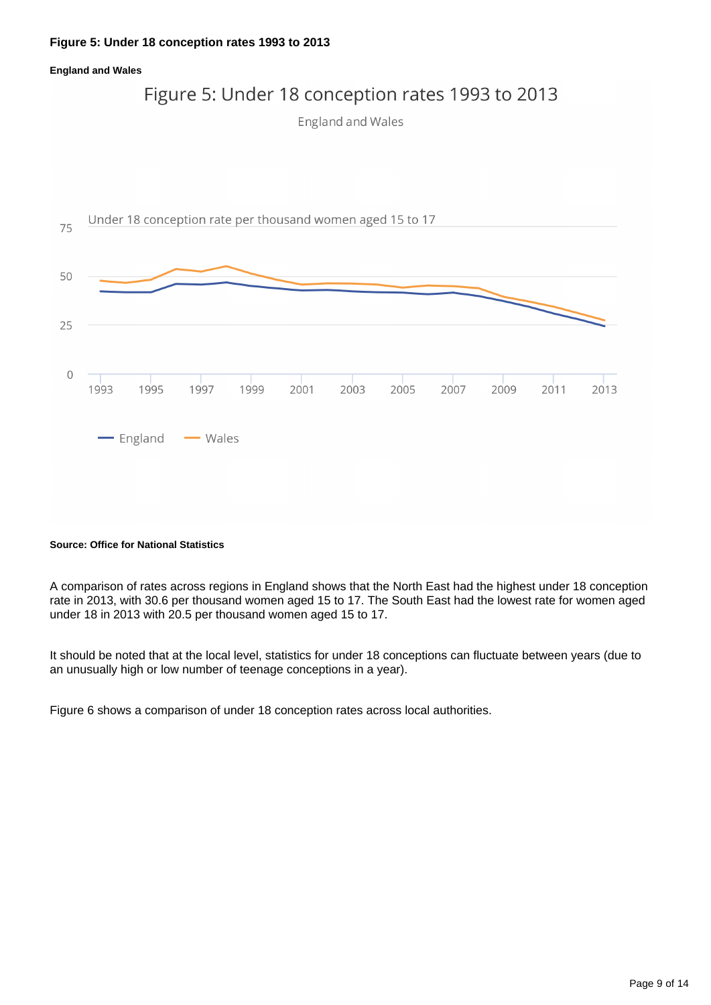#### **Figure 5: Under 18 conception rates 1993 to 2013**

#### **England and Wales**

### Figure 5: Under 18 conception rates 1993 to 2013

**England and Wales** 



#### **Source: Office for National Statistics**

A comparison of rates across regions in England shows that the North East had the highest under 18 conception rate in 2013, with 30.6 per thousand women aged 15 to 17. The South East had the lowest rate for women aged under 18 in 2013 with 20.5 per thousand women aged 15 to 17.

It should be noted that at the local level, statistics for under 18 conceptions can fluctuate between years (due to an unusually high or low number of teenage conceptions in a year).

Figure 6 shows a comparison of under 18 conception rates across local authorities.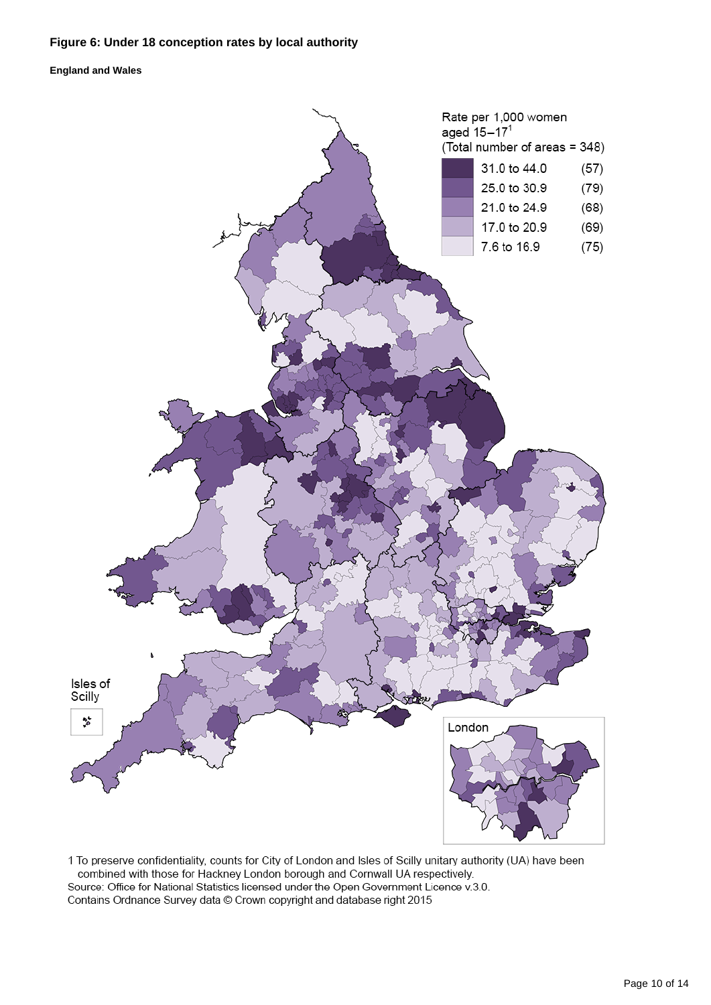### **Figure 6: Under 18 conception rates by local authority**

**England and Wales**



1 To preserve confidentiality, counts for City of London and Isles of Scilly unitary authority (UA) have been combined with those for Hackney London borough and Cornwall UA respectively. Source: Office for National Statistics licensed under the Open Government Licence v.3.0. Contains Ordnance Survey data © Crown copyright and database right 2015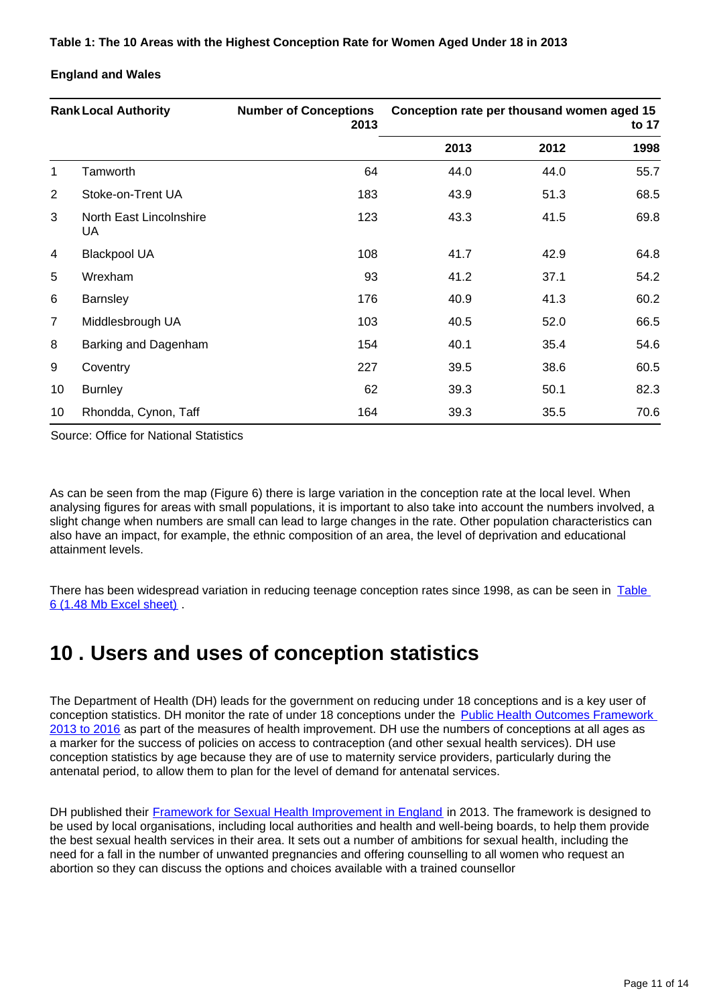### **England and Wales**

| <b>Rank Local Authority</b> |                               | <b>Number of Conceptions</b><br>2013 | Conception rate per thousand women aged 15<br>to 17 |      |      |
|-----------------------------|-------------------------------|--------------------------------------|-----------------------------------------------------|------|------|
|                             |                               |                                      | 2013                                                | 2012 | 1998 |
| 1                           | Tamworth                      | 64                                   | 44.0                                                | 44.0 | 55.7 |
| 2                           | Stoke-on-Trent UA             | 183                                  | 43.9                                                | 51.3 | 68.5 |
| 3                           | North East Lincolnshire<br>UA | 123                                  | 43.3                                                | 41.5 | 69.8 |
| 4                           | <b>Blackpool UA</b>           | 108                                  | 41.7                                                | 42.9 | 64.8 |
| 5                           | Wrexham                       | 93                                   | 41.2                                                | 37.1 | 54.2 |
| 6                           | Barnsley                      | 176                                  | 40.9                                                | 41.3 | 60.2 |
| $\overline{7}$              | Middlesbrough UA              | 103                                  | 40.5                                                | 52.0 | 66.5 |
| 8                           | Barking and Dagenham          | 154                                  | 40.1                                                | 35.4 | 54.6 |
| 9                           | Coventry                      | 227                                  | 39.5                                                | 38.6 | 60.5 |
| 10 <sup>°</sup>             | <b>Burnley</b>                | 62                                   | 39.3                                                | 50.1 | 82.3 |
| 10                          | Rhondda, Cynon, Taff          | 164                                  | 39.3                                                | 35.5 | 70.6 |

Source: Office for National Statistics

As can be seen from the map (Figure 6) there is large variation in the conception rate at the local level. When analysing figures for areas with small populations, it is important to also take into account the numbers involved, a slight change when numbers are small can lead to large changes in the rate. Other population characteristics can also have an impact, for example, the ethnic composition of an area, the level of deprivation and educational attainment levels.

There has been widespread variation in reducing teenage conception rates since 1998, as can be seen in Table [6 \(1.48 Mb Excel sheet\)](http://www.ons.gov.uk/ons/rel/vsob1/conception-statistics--england-and-wales/2013/rft-conception-statistics-2013.xls) .

## <span id="page-10-0"></span>**10 . Users and uses of conception statistics**

The Department of Health (DH) leads for the government on reducing under 18 conceptions and is a key user of conception statistics. DH monitor the rate of under 18 conceptions under the Public Health Outcomes Framework [2013 to 2016](http://www.ons.gov.uk/ons/external-links/other-government-departments/doh/dh--a-public-health-outcomes-framework-for-england--2013--2016-----landing-page-.html) as part of the measures of health improvement. DH use the numbers of conceptions at all ages as a marker for the success of policies on access to contraception (and other sexual health services). DH use conception statistics by age because they are of use to maternity service providers, particularly during the antenatal period, to allow them to plan for the level of demand for antenatal services.

DH published their [Framework for Sexual Health Improvement in England](https://www.gov.uk/government/publications/a-framework-for-sexual-health-improvement-in-england) in 2013. The framework is designed to be used by local organisations, including local authorities and health and well-being boards, to help them provide the best sexual health services in their area. It sets out a number of ambitions for sexual health, including the need for a fall in the number of unwanted pregnancies and offering counselling to all women who request an abortion so they can discuss the options and choices available with a trained counsellor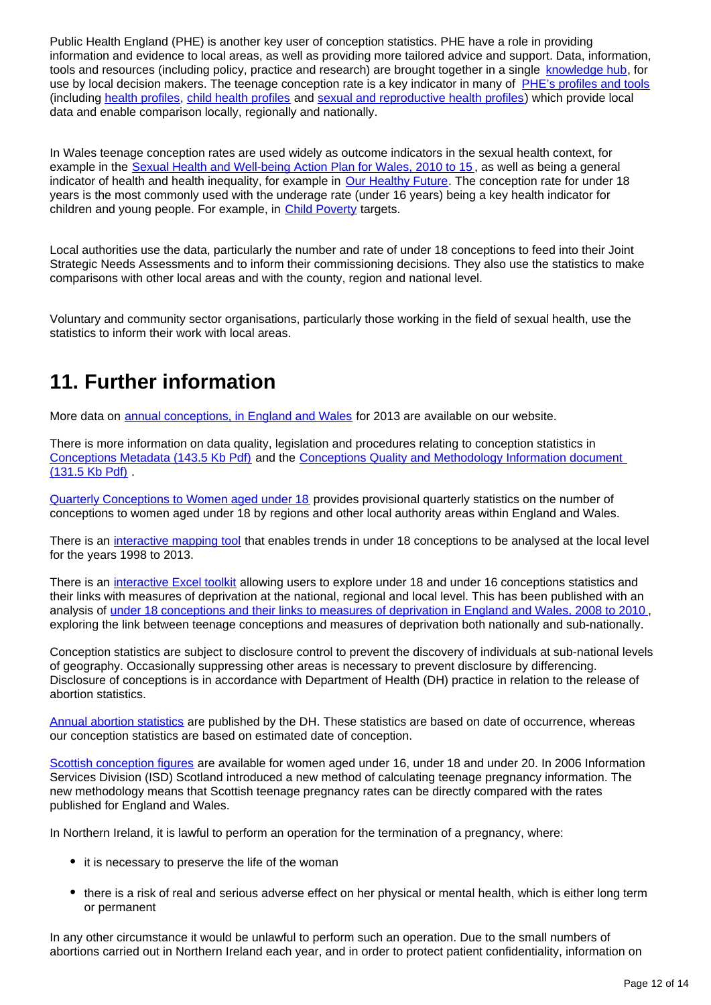Public Health England (PHE) is another key user of conception statistics. PHE have a role in providing information and evidence to local areas, as well as providing more tailored advice and support. Data, information, tools and resources (including policy, practice and research) are brought together in a single [knowledge hub](http://www.chimat.org.uk/teenconceptions), for use by local decision makers. The teenage conception rate is a key indicator in many of [PHE's profiles and tools](http://datagateway.phe.org.uk/) (including [health profiles,](http://www.apho.org.uk/default.aspx?QN=P_HEALTH_PROFILES) [child health profiles](http://atlas.chimat.org.uk/IAS/dataviews/childhealthprofile) and [sexual and reproductive health profiles](http://fingertips.phe.org.uk/profile/sexualhealth)) which provide local data and enable comparison locally, regionally and nationally.

In Wales teenage conception rates are used widely as outcome indicators in the sexual health context, for example in the [Sexual Health and Well-being Action Plan for Wales, 2010 to 15](http://www.ons.gov.uk/ons/external-links/devolved-admins/welsh-assembly-government/welsh-government--sexual-health-and-well-being-action-plan-for-wales--2010-15.html) , as well as being a general indicator of health and health inequality, for example in [Our Healthy Future.](http://wales.gov.uk/topics/health/cmo/healthy/?lang=en) The conception rate for under 18 years is the most commonly used with the underage rate (under 16 years) being a key health indicator for children and young people. For example, in [Child Poverty](http://www.ons.gov.uk/ons/external-links/devolved-admins/welsh-assembly-government/welsh-government--wales-child-poverty-statistics.html) targets.

Local authorities use the data, particularly the number and rate of under 18 conceptions to feed into their Joint Strategic Needs Assessments and to inform their commissioning decisions. They also use the statistics to make comparisons with other local areas and with the county, region and national level.

Voluntary and community sector organisations, particularly those working in the field of sexual health, use the statistics to inform their work with local areas.

# **11. Further information**

More data on [annual conceptions, in England and Wales](http://www.ons.gov.uk/ons/rel/vsob1/conception-statistics--england-and-wales/index.html) for 2013 are available on our website.

There is more information on data quality, legislation and procedures relating to conception statistics in [Conceptions Metadata \(143.5 Kb Pdf\)](http://www.ons.gov.uk/ons/guide-method/user-guidance/health-and-life-events/conceptions-metadata.pdf) and the Conceptions Quality and Methodology Information document [\(131.5 Kb Pdf\)](http://www.ons.gov.uk/ons/guide-method/method-quality/quality/quality-information/health-and-social-care/quality-and-methodology-information-for-conception-statistics.pdf) .

[Quarterly Conceptions to Women aged under 18](http://www.ons.gov.uk/ons/rel/vsob1/quart-conc-to-women-und-18/index.html) provides provisional quarterly statistics on the number of conceptions to women aged under 18 by regions and other local authority areas within England and Wales.

There is an [interactive mapping tool](http://www.neighbourhood.statistics.gov.uk/HTMLDocs/dvc130/index.html) that enables trends in under 18 conceptions to be analysed at the local level for the years 1998 to 2013.

There is an [interactive Excel toolkit](http://www.neighbourhood.statistics.gov.uk/HTMLDocs/conceptions/Conceptions-Deprivation-Analysis-Toolkit-v1-1-Jan-2014.xlsm) allowing users to explore under 18 and under 16 conceptions statistics and their links with measures of deprivation at the national, regional and local level. This has been published with an analysis of [under 18 conceptions and their links to measures of deprivation in England and Wales, 2008 to 2010](http://www.ons.gov.uk/ons/rel/regional-trends/area-based-analysis/conceptions-and-deprivation-analysis--england-and-wales--2008-10/index.html) , exploring the link between teenage conceptions and measures of deprivation both nationally and sub-nationally.

Conception statistics are subject to disclosure control to prevent the discovery of individuals at sub-national levels of geography. Occasionally suppressing other areas is necessary to prevent disclosure by differencing. Disclosure of conceptions is in accordance with Department of Health (DH) practice in relation to the release of abortion statistics.

[Annual abortion statistics](http://www.ons.gov.uk/ons/external-links/other-government-departments/doh/dh---abortion-statistics-for-england-and-wales.html) are published by the DH. These statistics are based on date of occurrence, whereas our conception statistics are based on estimated date of conception.

[Scottish conception figures](http://www.isdscotland.org/Health-Topics/Maternity-and-Births/Teenage-Pregnancy/) are available for women aged under 16, under 18 and under 20. In 2006 Information Services Division (ISD) Scotland introduced a new method of calculating teenage pregnancy information. The new methodology means that Scottish teenage pregnancy rates can be directly compared with the rates published for England and Wales.

In Northern Ireland, it is lawful to perform an operation for the termination of a pregnancy, where:

- it is necessary to preserve the life of the woman
- there is a risk of real and serious adverse effect on her physical or mental health, which is either long term or permanent

In any other circumstance it would be unlawful to perform such an operation. Due to the small numbers of abortions carried out in Northern Ireland each year, and in order to protect patient confidentiality, information on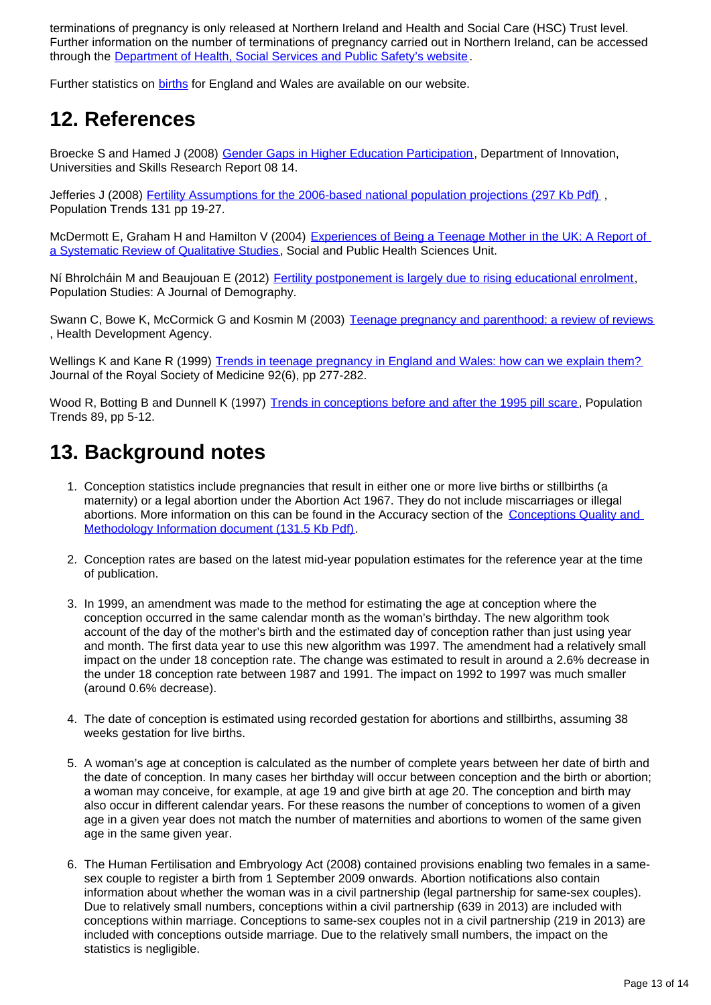terminations of pregnancy is only released at Northern Ireland and Health and Social Care (HSC) Trust level. Further information on the number of terminations of pregnancy carried out in Northern Ireland, can be accessed through the [Department of Health, Social Services and Public Safety's website](http://www.dhsspsni.gov.uk/hs-termination-of-pregnancy-stats-13-14.pdf).

Further statistics on [births](http://www.ons.gov.uk/ons/rel/vsob1/birth-summary-tables--england-and-wales/index.html) for England and Wales are available on our website.

## **12. References**

Broecke S and Hamed J (2008) [Gender Gaps in Higher Education Participation,](http://webarchive.nationalarchives.gov.uk/20121212135622/http://www.bis.gov.uk/assets/biscore/corporate/migratedD/publications/D/DIUS_RR_08_14) Department of Innovation, Universities and Skills Research Report 08 14.

Jefferies J (2008) [Fertility Assumptions for the 2006-based national population projections \(297 Kb Pdf\)](http://www.ons.gov.uk/ons/rel/population-trends-rd/population-trends/no--131--spring-2008/fertility-assumptions-for-the-2006-based-national-population-projections.pdf) Population Trends 131 pp 19-27.

McDermott E, Graham H and Hamilton V (2004) Experiences of Being a Teenage Mother in the UK: A Report of [a Systematic Review of Qualitative Studies](http://www.sphsu.mrc.ac.uk/Evidence/Research/Review%2010/SR%20Executive%20Summary.pdf), Social and Public Health Sciences Unit.

Ní Bhrolcháin M and Beaujouan E (2012) [Fertility postponement is largely due to rising educational enrolment](http://www.tandfonline.com/doi/pdf/10.1080/00324728.2012.697569), Population Studies: A Journal of Demography.

Swann C, Bowe K, McCormick G and Kosmin M (2003) [Teenage pregnancy and parenthood: a review of reviews](http://www.gserve.nice.org.uk/niceMedia/documents/teenpreg_evidence_briefing.pdf) , Health Development Agency.

Wellings K and Kane R (1999) [Trends in teenage pregnancy in England and Wales: how can we explain them?](http://www.ncbi.nlm.nih.gov/pmc/articles/PMC1297204/?page=1) Journal of the Royal Society of Medicine 92(6), pp 277-282.

Wood R, Botting B and Dunnell K (1997) [Trends in conceptions before and after the 1995 pill scare,](http://www.ons.gov.uk/ons/rel/population-trends-rd/population-trends/no--89--autumn-1997/bdl-population-trends-no--89--autumn-1997.pdf) Population Trends 89, pp 5-12.

## **13. Background notes**

- 1. Conception statistics include pregnancies that result in either one or more live births or stillbirths (a maternity) or a legal abortion under the Abortion Act 1967. They do not include miscarriages or illegal abortions. More information on this can be found in the Accuracy section of the [Conceptions Quality and](http://www.ons.gov.uk/ons/guide-method/method-quality/quality/quality-information/health-and-social-care/quality-and-methodology-information-for-conception-statistics.pdf)  [Methodology Information document \(131.5 Kb Pdf\)](http://www.ons.gov.uk/ons/guide-method/method-quality/quality/quality-information/health-and-social-care/quality-and-methodology-information-for-conception-statistics.pdf).
- 2. Conception rates are based on the latest mid-year population estimates for the reference year at the time of publication.
- 3. In 1999, an amendment was made to the method for estimating the age at conception where the conception occurred in the same calendar month as the woman's birthday. The new algorithm took account of the day of the mother's birth and the estimated day of conception rather than just using year and month. The first data year to use this new algorithm was 1997. The amendment had a relatively small impact on the under 18 conception rate. The change was estimated to result in around a 2.6% decrease in the under 18 conception rate between 1987 and 1991. The impact on 1992 to 1997 was much smaller (around 0.6% decrease).
- 4. The date of conception is estimated using recorded gestation for abortions and stillbirths, assuming 38 weeks gestation for live births.
- 5. A woman's age at conception is calculated as the number of complete years between her date of birth and the date of conception. In many cases her birthday will occur between conception and the birth or abortion; a woman may conceive, for example, at age 19 and give birth at age 20. The conception and birth may also occur in different calendar years. For these reasons the number of conceptions to women of a given age in a given year does not match the number of maternities and abortions to women of the same given age in the same given year.
- 6. The Human Fertilisation and Embryology Act (2008) contained provisions enabling two females in a samesex couple to register a birth from 1 September 2009 onwards. Abortion notifications also contain information about whether the woman was in a civil partnership (legal partnership for same-sex couples). Due to relatively small numbers, conceptions within a civil partnership (639 in 2013) are included with conceptions within marriage. Conceptions to same-sex couples not in a civil partnership (219 in 2013) are included with conceptions outside marriage. Due to the relatively small numbers, the impact on the statistics is negligible.